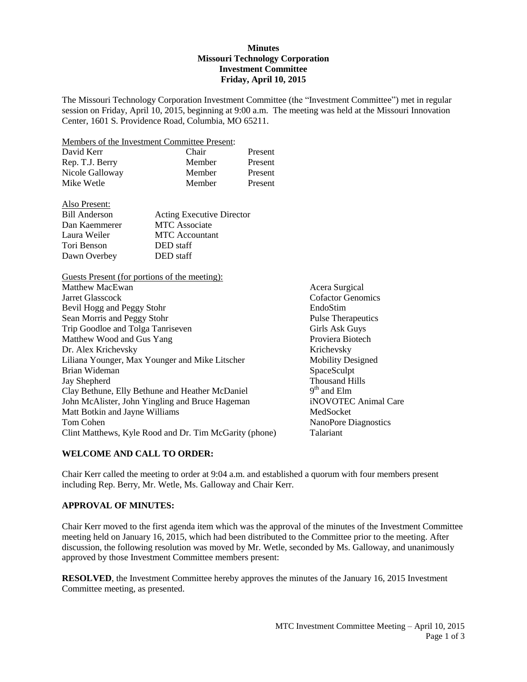#### **Minutes Missouri Technology Corporation Investment Committee Friday, April 10, 2015**

The Missouri Technology Corporation Investment Committee (the "Investment Committee") met in regular session on Friday, April 10, 2015, beginning at 9:00 a.m. The meeting was held at the Missouri Innovation Center, 1601 S. Providence Road, Columbia, MO 65211.

Members of the Investment Committee Present:

| David Kerr      | Chair  | Present |
|-----------------|--------|---------|
| Rep. T.J. Berry | Member | Present |
| Nicole Galloway | Member | Present |
| Mike Wetle      | Member | Present |

| <b>Acting Executive Director</b> |
|----------------------------------|
| <b>MTC</b> Associate             |
| <b>MTC</b> Accountant            |
| DED staff                        |
| DED staff                        |
|                                  |

Guests Present (for portions of the meeting): Matthew MacEwan **Acera** Surgical Acera Surgical

| Jarret Glasscock                                       | Cofactor        |
|--------------------------------------------------------|-----------------|
| Bevil Hogg and Peggy Stohr                             | EndoStin        |
| Sean Morris and Peggy Stohr                            | Pulse The       |
| Trip Goodloe and Tolga Tanriseven                      | Girls Asl       |
| Matthew Wood and Gus Yang                              | <b>Proviera</b> |
| Dr. Alex Krichevsky                                    | Krichevs        |
| Liliana Younger, Max Younger and Mike Litscher         | Mobility        |
| Brian Wideman                                          | SpaceScu        |
| Jay Shepherd                                           | Thousan         |
| Clay Bethune, Elly Bethune and Heather McDaniel        | $9th$ and E     |
| John McAlister, John Yingling and Bruce Hageman        | iNOVOT          |
| Matt Botkin and Jayne Williams                         | MedSock         |
| Tom Cohen                                              | <b>NanoPor</b>  |
| Clint Matthews, Kyle Rood and Dr. Tim McGarity (phone) | Talariant       |
|                                                        |                 |

Cofactor Genomics EndoStim Pulse Therapeutics Girls Ask Guys Proviera Biotech Krichevsky Mobility Designed SpaceSculpt Thousand Hills  $9<sup>th</sup>$  and Elm iNOVOTEC Animal Care MedSocket NanoPore Diagnostics

# **WELCOME AND CALL TO ORDER:**

Chair Kerr called the meeting to order at 9:04 a.m. and established a quorum with four members present including Rep. Berry, Mr. Wetle, Ms. Galloway and Chair Kerr.

## **APPROVAL OF MINUTES:**

Chair Kerr moved to the first agenda item which was the approval of the minutes of the Investment Committee meeting held on January 16, 2015, which had been distributed to the Committee prior to the meeting. After discussion, the following resolution was moved by Mr. Wetle, seconded by Ms. Galloway, and unanimously approved by those Investment Committee members present:

**RESOLVED**, the Investment Committee hereby approves the minutes of the January 16, 2015 Investment Committee meeting, as presented.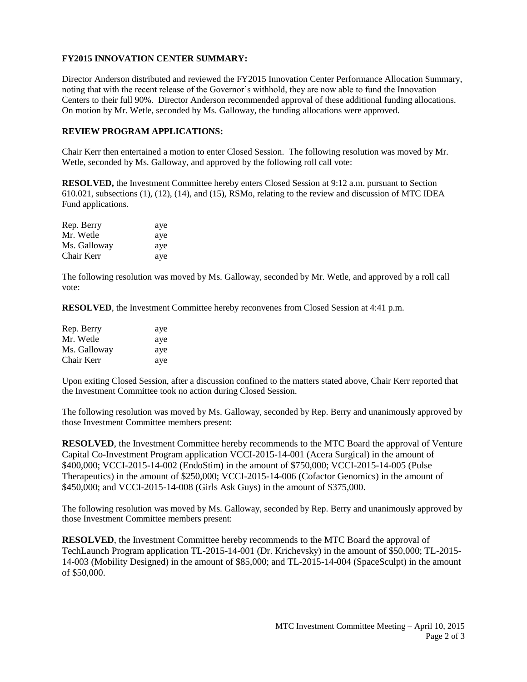# **FY2015 INNOVATION CENTER SUMMARY:**

Director Anderson distributed and reviewed the FY2015 Innovation Center Performance Allocation Summary, noting that with the recent release of the Governor's withhold, they are now able to fund the Innovation Centers to their full 90%. Director Anderson recommended approval of these additional funding allocations. On motion by Mr. Wetle, seconded by Ms. Galloway, the funding allocations were approved.

## **REVIEW PROGRAM APPLICATIONS:**

Chair Kerr then entertained a motion to enter Closed Session. The following resolution was moved by Mr. Wetle, seconded by Ms. Galloway, and approved by the following roll call vote:

**RESOLVED,** the Investment Committee hereby enters Closed Session at 9:12 a.m. pursuant to Section 610.021, subsections (1), (12), (14), and (15), RSMo, relating to the review and discussion of MTC IDEA Fund applications.

| Rep. Berry   | aye |
|--------------|-----|
| Mr. Wetle    | aye |
| Ms. Galloway | aye |
| Chair Kerr   | aye |

The following resolution was moved by Ms. Galloway, seconded by Mr. Wetle, and approved by a roll call vote:

**RESOLVED**, the Investment Committee hereby reconvenes from Closed Session at 4:41 p.m.

| Rep. Berry   | aye |
|--------------|-----|
| Mr. Wetle    | aye |
| Ms. Galloway | aye |
| Chair Kerr   | aye |

Upon exiting Closed Session, after a discussion confined to the matters stated above, Chair Kerr reported that the Investment Committee took no action during Closed Session.

The following resolution was moved by Ms. Galloway, seconded by Rep. Berry and unanimously approved by those Investment Committee members present:

**RESOLVED**, the Investment Committee hereby recommends to the MTC Board the approval of Venture Capital Co-Investment Program application VCCI-2015-14-001 (Acera Surgical) in the amount of \$400,000; VCCI-2015-14-002 (EndoStim) in the amount of \$750,000; VCCI-2015-14-005 (Pulse Therapeutics) in the amount of \$250,000; VCCI-2015-14-006 (Cofactor Genomics) in the amount of \$450,000; and VCCI-2015-14-008 (Girls Ask Guys) in the amount of \$375,000.

The following resolution was moved by Ms. Galloway, seconded by Rep. Berry and unanimously approved by those Investment Committee members present:

**RESOLVED**, the Investment Committee hereby recommends to the MTC Board the approval of TechLaunch Program application TL-2015-14-001 (Dr. Krichevsky) in the amount of \$50,000; TL-2015- 14-003 (Mobility Designed) in the amount of \$85,000; and TL-2015-14-004 (SpaceSculpt) in the amount of \$50,000.